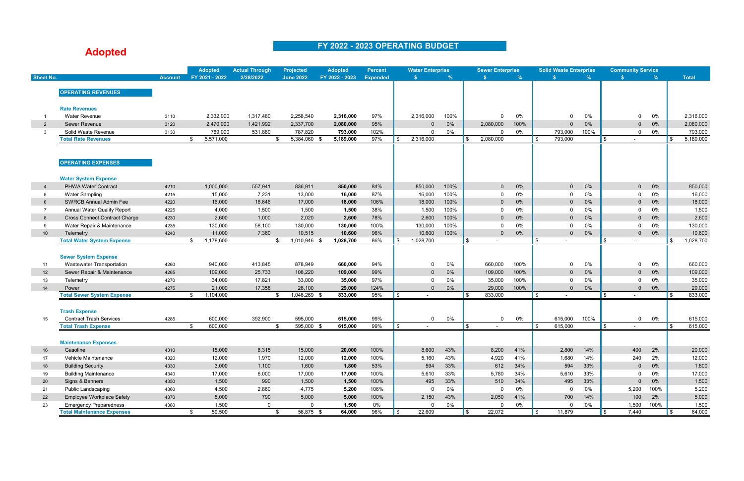### **FY 2022 - 2023 OPERATING BUDGET**

|                |                                                   |                | <b>Adopted</b>       | <b>Actual Through</b> | <b>Projected</b>                        | <b>Adopted</b>       | <b>Percent</b>  |                          | <b>Water Enterprise</b>   |               |               | <b>Sewer Enterprise</b> |       | <b>Solid Waste Enterprise</b> |       | <b>Community Service</b> |                |               |            |                      |
|----------------|---------------------------------------------------|----------------|----------------------|-----------------------|-----------------------------------------|----------------------|-----------------|--------------------------|---------------------------|---------------|---------------|-------------------------|-------|-------------------------------|-------|--------------------------|----------------|---------------|------------|----------------------|
| Sheet No.      |                                                   | <b>Account</b> | FY 2021 - 2022       | 2/28/2022             | <b>June 2022</b>                        | FY 2022 - 2023       | <b>Expended</b> |                          | -S.                       | $\frac{9}{6}$ |               |                         | $\%$  |                               | %     | - 93                     |                | $\frac{9}{6}$ |            | <b>Total</b>         |
|                |                                                   |                |                      |                       |                                         |                      |                 |                          |                           |               |               |                         |       |                               |       |                          |                |               |            |                      |
|                | <b>OPERATING REVENUES</b>                         |                |                      |                       |                                         |                      |                 |                          |                           |               |               |                         |       |                               |       |                          |                |               |            |                      |
|                |                                                   |                |                      |                       |                                         |                      |                 |                          |                           |               |               |                         |       |                               |       |                          |                |               |            |                      |
|                | <b>Rate Revenues</b>                              |                |                      |                       |                                         |                      |                 |                          |                           |               |               |                         |       |                               |       |                          |                |               |            |                      |
|                | <b>Water Revenue</b>                              | 3110           | 2,332,000            | 1,317,480             | 2,258,540                               | 2,316,000            | 97%             |                          | 2,316,000                 | 100%          |               | $\Omega$                | 0%    | $\Omega$                      | 0%    |                          | $\Omega$       | 0%            |            | 2,316,000            |
| $\overline{2}$ | Sewer Revenue                                     | 3120           | 2,470,000            | 1,421,992             | 2,337,700                               | 2,080,000            | 95%             |                          | $\Omega$                  | 0%            |               | 2,080,000               | 100%  | $\Omega$                      | 0%    |                          | $\overline{0}$ | 0%            |            | 2,080,000            |
| 3              | Solid Waste Revenue<br><b>Total Rate Revenues</b> | 3130           | 769,000<br>5,571,000 | 531,880               | 787,820<br>5,384,060 \$<br>\$           | 793,000<br>5,189,000 | 102%<br>97%     | -\$                      | $\mathbf{0}$<br>2,316,000 | $0\%$         | \$            | 2,080,000               | 0%    | 793,000<br>793,000            | 100%  | $\sqrt{3}$               | $\mathbf{0}$   | 0%            | <b>S</b>   | 793,000<br>5,189,000 |
|                |                                                   |                | \$                   |                       |                                         |                      |                 |                          |                           |               |               |                         |       | l \$                          |       |                          |                |               |            |                      |
|                |                                                   |                |                      |                       |                                         |                      |                 |                          |                           |               |               |                         |       |                               |       |                          |                |               |            |                      |
|                | <b>OPERATING EXPENSES</b>                         |                |                      |                       |                                         |                      |                 |                          |                           |               |               |                         |       |                               |       |                          |                |               |            |                      |
|                |                                                   |                |                      |                       |                                         |                      |                 |                          |                           |               |               |                         |       |                               |       |                          |                |               |            |                      |
|                | <b>Water System Expense</b>                       |                |                      |                       |                                         |                      |                 |                          |                           |               |               |                         |       |                               |       |                          |                |               |            |                      |
|                | PHWA Water Contract                               | 4210           | 1,000,000            | 557,941               | 836,911                                 | 850,000              | 84%             |                          | 850,000                   | 100%          |               | $\mathbf{0}$            | 0%    | $\Omega$                      | 0%    |                          | $\overline{0}$ | 0%            |            | 850,000              |
| -5             | <b>Water Sampling</b>                             | 4215           | 15,000               | 7,231                 | 13,000                                  | 16,000               | 87%             |                          | 16,000                    | 100%          |               |                         | 0%    | $\Omega$                      | 0%    |                          | $\Omega$       | 0%            |            | 16,000               |
|                | <b>SWRCB Annual Admin Fee</b>                     | 4220           | 16,000               | 16,646                | 17,000                                  | 18,000               | 106%            |                          | 18,000                    | 100%          |               | $\Omega$                | 0%    | $\Omega$                      | 0%    |                          | $\overline{0}$ | 0%            |            | 18,000               |
|                | <b>Annual Water Quality Report</b>                | 4225           | 4,000                | 1,500                 | 1,500                                   | 1,500                | 38%             |                          | 1,500                     | 100%          |               |                         | 0%    | $\Omega$                      | 0%    |                          | $\Omega$       | 0%            |            | 1,500                |
| 8              | <b>Cross Connect Contract Charge</b>              | 4230           | 2,600                | 1,000                 | 2,020                                   | 2,600                | 78%             |                          | 2,600                     | 100%          |               | $\Omega$                | 0%    | $\Omega$                      | 0%    |                          | $\overline{0}$ | 0%            |            | 2,600                |
| 9              | Water Repair & Maintenance                        | 4235           | 130,000              | 58,100                | 130,000                                 | 130,000              | 100%            |                          | 130,000                   | 100%          |               |                         | $0\%$ | $\Omega$                      | 0%    |                          | $\Omega$       | 0%            |            | 130,000              |
| 10             | Telemetry                                         | 4240           | 11,000               | 7,360                 | 10,515                                  | 10,600               | 96%             |                          | 10,600                    | 100%          |               | $\Omega$                | 0%    | $\Omega$                      | 0%    |                          | $\overline{0}$ | 0%            |            | 10,600               |
|                | <b>Total Water System Expense</b>                 |                | 1,178,600<br>\$      |                       | \$<br>1,010,946 \$                      | 1,028,700            | 86%             | \$                       | 1,028,700                 |               | $\sqrt[6]{3}$ | $\sim$                  |       | <b>S</b><br>$\sim$            |       | <b>S</b>                 | $\sim$         |               | \$         | 1,028,700            |
|                |                                                   |                |                      |                       |                                         |                      |                 |                          |                           |               |               |                         |       |                               |       |                          |                |               |            |                      |
|                | <b>Sewer System Expense</b>                       |                |                      |                       |                                         |                      |                 |                          |                           |               |               |                         |       |                               |       |                          |                |               |            |                      |
| 11             | <b>Wastewater Transportation</b>                  | 4260           | 940,000              | 413,845               | 878,949                                 | 660,000              | 94%             |                          | $\Omega$                  | 0%            |               | 660,000                 | 100%  | $\Omega$                      | 0%    |                          | $\overline{0}$ | 0%            |            | 660,000              |
| 12             | Sewer Repair & Maintenance                        | 4265           | 109,000              | 25,733                | 108,220                                 | 109,000              | 99%             |                          | $\mathbf{0}$              | 0%            |               | 109,000                 | 100%  | $\Omega$                      | 0%    |                          | $\overline{0}$ | 0%            |            | 109,000              |
| 13             | Telemetry                                         | 4270           | 34,000               | 17,821                | 33,000                                  | 35,000               | 97%             |                          | $\Omega$                  | 0%            |               | 35,000                  | 100%  | $\Omega$                      | 0%    |                          | $\Omega$       | 0%            |            | 35,000               |
| 14             | Power                                             | 4275           | 21,000               | 17,358                | 26,100                                  | 29,000               | 124%            |                          | $\Omega$                  | 0%            |               | 29,000                  | 100%  | $\Omega$                      | 0%    |                          | $\Omega$       | 0%            |            | 29,000               |
|                | <b>Total Sewer System Expense</b>                 |                | 1,104,000<br>\$      |                       | $\sqrt[6]{\frac{1}{2}}$<br>1,046,269 \$ | 833,000              | 95%             | \$                       |                           |               | \$            | 833,000                 |       | <b>S</b>                      |       | l \$                     |                |               | \$         | 833,000              |
|                |                                                   |                |                      |                       |                                         |                      |                 |                          |                           |               |               |                         |       |                               |       |                          |                |               |            |                      |
|                | <b>Trash Expense</b>                              |                |                      |                       |                                         |                      |                 |                          |                           |               |               |                         |       |                               |       |                          |                |               |            |                      |
| 15             | <b>Contract Trash Services</b>                    | 4285           | 600,000              | 392,900               | 595,000                                 | 615,000              | 99%             |                          | $\mathbf{0}$              | 0%            |               | 0                       | 0%    | 615,000                       | 100%  |                          | $\mathbf{0}$   | $0\%$         |            | 615,000              |
|                | <b>Total Trash Expense</b>                        |                | 600,000<br>-\$       |                       | 595,000 \$<br>\$                        | 615,000              | 99%             | $\vert \mathsf{s} \vert$ | $\sim$ 10 $\,$            |               | $\frac{1}{2}$ | $\sim$                  |       | <b>S</b><br>615,000           |       | <b>S</b>                 | $\sim$         |               | $\sqrt{3}$ | 615,000              |
|                |                                                   |                |                      |                       |                                         |                      |                 |                          |                           |               |               |                         |       |                               |       |                          |                |               |            |                      |
|                | <b>Maintenance Expenses</b>                       |                |                      |                       |                                         |                      |                 |                          |                           |               |               |                         |       |                               |       |                          |                |               |            |                      |
| 16             | Gasoline                                          | 4310           | 15,000               | 8,315                 | 15,000                                  | 20,000               | 100%            |                          | 8,600                     | 43%           |               | 8,200                   | 41%   | 2,800                         | 14%   |                          | 400            | 2%            |            | 20,000               |
| 17             | Vehicle Maintenance                               | 4320           | 12,000               | 1,970                 | 12,000                                  | 12,000               | 100%            |                          | 5,160                     | 43%           |               | 4,920                   | 41%   | 1,680                         | 14%   |                          | 240            | 2%            |            | 12,000               |
| 18             | <b>Building Security</b>                          | 4330           | 3,000                | 1,100                 | 1,600                                   | 1,800                | 53%             |                          | 594                       | 33%           |               | 612                     | 34%   | 594                           | 33%   |                          | $\overline{0}$ | $0\%$         |            | 1,800                |
| 19             | <b>Building Maintenance</b>                       | 4340           | 17,000               | 6,000                 | 17,000                                  | 17,000               | 100%            |                          | 5,610                     | 33%           |               | 5,780                   | 34%   | 5,610                         | 33%   |                          | $\mathbf 0$    | 0%            |            | 17,000               |
| 20             | Signs & Banners                                   | 4350           | 1,500                | 990                   | 1,500                                   | 1,500                | 100%            |                          | 495                       | 33%           |               | 510                     | 34%   | 495                           | 33%   |                          | $\overline{0}$ | $0\%$         |            | 1,500                |
| 21             | Public Landscaping                                | 4360           | 4,500                | 2,860                 | 4,775                                   | 5,200                | 106%            |                          | $\mathbf{0}$              | $0\%$         |               | $\mathbf{0}$            | 0%    | $\Omega$                      | $0\%$ |                          | 5,200          | 100%          |            | 5,200                |
| 22             | Employee Workplace Safety                         | 4370           | 5,000                | 790                   | 5,000                                   | 5,000                | 100%            |                          | 2,150                     | 43%           |               | 2,050                   | 41%   | 700                           | 14%   |                          | 100            | 2%            |            | 5,000                |
| 23             | <b>Emergency Preparedness</b>                     | 4380           | 1,500                | $\mathbf 0$           | $\mathbf{0}$                            | 1,500                | 0%              |                          | $\mathbf 0$               | 0%            |               | $\Omega$                | 0%    | 0                             | $0\%$ |                          | 1,500          | 100%          |            | 1,500                |
|                | <b>Total Maintenance Expenses</b>                 |                | 59,500<br>\$         |                       | \$<br>56,875 \$                         | 64,000               | 96%             | $\parallel$ \$           | 22,609                    |               | $\sqrt{2}$    | 22,072                  |       | $\vert$ \$<br>11,879          |       | $\vert \mathsf{s} \vert$ | 7,440          |               | $\sqrt{ }$ | 64,000               |

# **Adopted**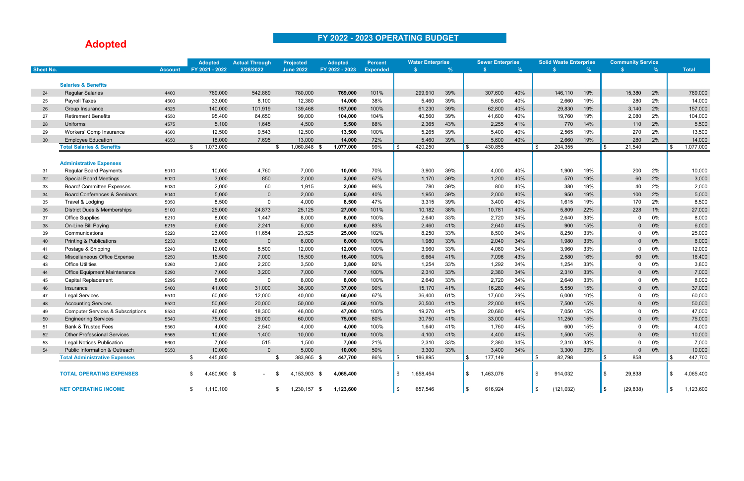### **FY 2022 - 2023 OPERATING BUDGET**

# **Adopted**

|                  |                                              |                | <b>Adopted</b>     | <b>Actual Through</b> | <b>Projected</b>     | <b>Adopted</b> | <b>Percent</b>  |      | <b>Water Enterprise</b> |      |            | <b>Sewer Enterprise</b> |      | <b>Solid Waste Enterprise</b> |      |          | <b>Community Service</b> |       |          |              |
|------------------|----------------------------------------------|----------------|--------------------|-----------------------|----------------------|----------------|-----------------|------|-------------------------|------|------------|-------------------------|------|-------------------------------|------|----------|--------------------------|-------|----------|--------------|
| <b>Sheet No.</b> |                                              | <b>Account</b> | FY 2021 - 2022     | 2/28/2022             | <b>June 2022</b>     | FY 2022 - 2023 | <b>Expended</b> |      | $\mathbf{s}$            | $\%$ |            |                         | $\%$ | -\$                           | $\%$ |          |                          | $\%$  |          | <b>Total</b> |
|                  |                                              |                |                    |                       |                      |                |                 |      |                         |      |            |                         |      |                               |      |          |                          |       |          |              |
|                  | <b>Salaries &amp; Benefits</b>               |                |                    |                       |                      |                |                 |      |                         |      |            |                         |      |                               |      |          |                          |       |          |              |
| 24               | <b>Regular Salaries</b>                      | 4400           | 769,000            | 542,869               | 780,000              | 769,000        | 101%            |      | 299,910                 | 39%  |            | 307,600                 | 40%  | 146,110                       | 19%  |          | 15,380                   | 2%    |          | 769,000      |
| 25               | Payroll Taxes                                | 4500           | 33,000             | 8,100                 | 12,380               | 14,000         | 38%             |      | 5,460                   | 39%  |            | 5,600                   | 40%  | 2,660                         | 19%  |          | 280                      | 2%    |          | 14,000       |
| 26               | Group Insurance                              | 4525           | 140,000            | 101,919               | 139,468              | 157,000        | 100%            |      | 61,230                  | 39%  |            | 62,800                  | 40%  | 29,830                        | 19%  |          | 3,140                    | 2%    |          | 157,000      |
| 27               | <b>Retirement Benefits</b>                   | 4550           | 95,400             | 64,650                | 99,000               | 104,000        | 104%            |      | 40,560                  | 39%  |            | 41,600                  | 40%  | 19,760                        | 19%  |          | 2,080                    | 2%    |          | 104,000      |
| 28               | Uniforms                                     | 4575           | 5,100              | 1,645                 | 4,500                | 5,500          | 88%             |      | 2,365                   | 43%  |            | 2,255                   | 41%  | 770                           | 14%  |          | 110                      | 2%    |          | 5,500        |
| 29               | Workers' Comp Insurance                      | 4600           | 12,500             | 9,543                 | 12,500               | 13,500         | 100%            |      | 5,265                   | 39%  |            | 5,400                   | 40%  | 2,565                         | 19%  |          | 270                      | 2%    |          | 13,500       |
| 30               | <b>Employee Education</b>                    | 4650           | 18,000             | 7,695                 | 13,000               | 14,000         | 72%             |      | 5,460                   | 39%  |            | 5,600                   | 40%  | 2,660                         | 19%  |          | 280                      | 2%    |          | 14,000       |
|                  | <b>Total Salaries &amp; Benefits</b>         |                | 1,073,000<br>-\$   |                       | 1,060,848<br>\$      | 1,077,000      | 99%             | \$   | 420,250                 |      | \$         | 430,855                 |      | 204,355<br>l \$               |      | <b>S</b> | 21,540                   |       | \$       | 1,077,000    |
|                  |                                              |                |                    |                       |                      |                |                 |      |                         |      |            |                         |      |                               |      |          |                          |       |          |              |
|                  | <b>Administrative Expenses</b>               |                |                    |                       |                      |                |                 |      |                         |      |            |                         |      |                               |      |          |                          |       |          |              |
| 31               | <b>Regular Board Payments</b>                | 5010           | 10,000             | 4,760                 | 7,000                | 10,000         | 70%             |      | 3,900                   | 39%  |            | 4,000                   | 40%  | 1.900                         | 19%  |          | 200                      | 2%    |          | 10,000       |
| 32               | <b>Special Board Meetings</b>                | 5020           | 3,000              | 850                   | 2,000                | 3,000          | 67%             |      | 1,170                   | 39%  |            | 1,200                   | 40%  | 570                           | 19%  |          | 60                       | 2%    |          | 3,000        |
| 33               | <b>Board/ Committee Expenses</b>             | 5030           | 2,000              | 60                    | 1,915                | 2,000          | 96%             |      | 780                     | 39%  |            | 800                     | 40%  | 380                           | 19%  |          | 40                       | 2%    |          | 2,000        |
| 34               | <b>Board Conferences &amp; Seminars</b>      | 5040           | 5,000              | $\mathbf 0$           | 2,000                | 5,000          | 40%             |      | 1,950                   | 39%  |            | 2,000                   | 40%  | 950                           | 19%  |          | 100                      | 2%    |          | 5,000        |
| 35               | Travel & Lodging                             | 5050           | 8,500              | $\mathbf 0$           | 4,000                | 8,500          | 47%             |      | 3,315                   | 39%  |            | 3,400                   | 40%  | 1,615                         | 19%  |          | 170                      | 2%    |          | 8,500        |
| 36               | <b>District Dues &amp; Memberships</b>       | 5100           | 25,000             | 24,873                | 25,125               | 27,000         | 101%            |      | 10,182                  | 38%  |            | 10,781                  | 40%  | 5,809                         | 22%  |          | 228                      | 1%    |          | 27,000       |
| 37               | <b>Office Supplies</b>                       | 5210           | 8,000              | 1,447                 | 8,000                | 8,000          | 100%            |      | 2,640                   | 33%  |            | 2,720                   | 34%  | 2,640                         | 33%  |          | $\Omega$                 | 0%    |          | 8,000        |
| 38               | On-Line Bill Paying                          | 5215           | 6,000              | 2,241                 | 5,000                | 6,000          | 83%             |      | 2,460                   | 41%  |            | 2,640                   | 44%  | 900                           | 15%  |          | $\Omega$                 | 0%    |          | 6,000        |
| 39               | Communications                               | 5220           | 23,000             | 11,654                | 23,525               | 25,000         | 102%            |      | 8,250                   | 33%  |            | 8,500                   | 34%  | 8,250                         | 33%  |          | $\Omega$                 | 0%    |          | 25,000       |
| 40               | <b>Printing &amp; Publications</b>           | 5230           | 6,000              | $\overline{0}$        | 6,000                | 6,000          | 100%            |      | 1,980                   | 33%  |            | 2,040                   | 34%  | 1,980                         | 33%  |          | $\Omega$                 | 0%    |          | 6,000        |
| 41               | Postage & Shipping                           | 5240           | 12,000             | 8,500                 | 12,000               | 12,000         | 100%            |      | 3,960                   | 33%  |            | 4,080                   | 34%  | 3,960                         | 33%  |          | $\Omega$                 | 0%    |          | 12,000       |
| 42               | Miscellaneous Office Expense                 | 5250           | 15,500             | 7,000                 | 15,500               | 16,400         | 100%            |      | 6,664                   | 41%  |            | 7,096                   | 43%  | 2,580                         | 16%  |          | 60                       | 0%    |          | 16,400       |
| 43               | <b>Office Utilities</b>                      | 5260           | 3,800              | 2,200                 | 3,500                | 3,800          | 92%             |      | 1,254                   | 33%  |            | 1,292                   | 34%  | 1,254                         | 33%  |          | $\Omega$                 | 0%    |          | 3,800        |
| 44               | Office Equipment Maintenance                 | 5290           | 7,000              | 3,200                 | 7,000                | 7.000          | 100%            |      | 2,310                   | 33%  |            | 2,380                   | 34%  | 2,310                         | 33%  |          | $\Omega$                 | 0%    |          | 7,000        |
| 45               | <b>Capital Replacement</b>                   | 5295           | 8,000              | $\mathbf 0$           | 8,000                | 8,000          | 100%            |      | 2,640                   | 33%  |            | 2,720                   | 34%  | 2,640                         | 33%  |          | $\Omega$                 | 0%    |          | 8,000        |
| 46               | Insurance                                    | 5400           | 41,000             | 31,000                | 36,900               | 37,000         | 90%             |      | 15,170                  | 41%  |            | 16,280                  | 44%  | 5,550                         | 15%  |          | $\Omega$                 | 0%    |          | 37,000       |
| 47               | <b>Legal Services</b>                        | 5510           | 60,000             | 12,000                | 40,000               | 60,000         | 67%             |      | 36,400                  | 61%  |            | 17,600                  | 29%  | 6,000                         | 10%  |          | $\Omega$                 | 0%    |          | 60,000       |
| 48               | <b>Accounting Services</b>                   | 5520           | 50,000             | 20,000                | 50,000               | 50,000         | 100%            |      | 20,500                  | 41%  |            | 22,000                  | 44%  | 7,500                         | 15%  |          | $\Omega$                 | 0%    |          | 50,000       |
| 49               | <b>Computer Services &amp; Subscriptions</b> | 5530           | 46,000             | 18,300                | 46,000               | 47,000         | 100%            |      | 19,270                  | 41%  |            | 20,680                  | 44%  | 7,050                         | 15%  |          | $\Omega$                 | 0%    |          | 47,000       |
| 50               | <b>Engineering Services</b>                  | 5540           | 75,000             | 29,000                | 60,000               | 75,000         | 80%             |      | 30,750                  | 41%  |            | 33,000                  | 44%  | 11,250                        | 15%  |          | $\Omega$                 | 0%    |          | 75,000       |
| 51               | Bank & Trustee Fees                          | 5560           | 4,000              | 2,540                 | 4,000                | 4.000          | 100%            |      | 1.640                   | 41%  |            | 1,760                   | 44%  | 600                           | 15%  |          | $\Omega$                 | 0%    |          | 4,000        |
| 52               | <b>Other Professional Services</b>           | 5565           | 10,000             | 1,400                 | 10,000               | 10,000         | 100%            |      | 4,100                   | 41%  |            | 4,400                   | 44%  | 1,500                         | 15%  |          | $\overline{0}$           | $0\%$ |          | 10,000       |
| 53               | <b>Legal Notices Publication</b>             | 5600           | 7,000              | 515                   | 1,500                | 7,000          | 21%             |      | 2,310                   | 33%  |            | 2,380                   | 34%  | 2,310                         | 33%  |          | $\Omega$                 | 0%    |          | 7,000        |
| 54               | Public Information & Outreach                | 5650           | 10,000             | $\mathbf{0}$          | 5,000                | 10,000         | 50%             |      | 3,300                   | 33%  |            | 3,400                   | 34%  | 3,300                         | 33%  |          | $\overline{0}$           | 0%    |          | 10,000       |
|                  | <b>Total Administrative Expenses</b>         |                | \$<br>445,800      |                       | \$<br>383,965 \$     | 447,700        | 86%             | I \$ | 186,895                 |      | \$         | 177,149                 |      | 82,798<br>I \$                |      | <b>S</b> | 858                      |       | <b>S</b> | 447,700      |
|                  |                                              |                |                    |                       |                      |                |                 |      |                         |      |            |                         |      |                               |      |          |                          |       |          |              |
|                  | <b>TOTAL OPERATING EXPENSES</b>              |                | 4,460,900 \$<br>\$ | $-$ \$                | 4,153,903 \$         | 4,065,400      |                 | \$   | 1,658,454               |      | \$         | 1,463,076               |      | 914,032<br>- \$               |      | - \$     | 29,838                   |       | \$       | 4,065,400    |
|                  |                                              |                |                    |                       |                      |                |                 |      |                         |      |            |                         |      |                               |      |          |                          |       |          |              |
|                  | <b>NET OPERATING INCOME</b>                  |                | \$<br>1,110,100    |                       | $1,230,157$ \$<br>\$ | 1,123,600      |                 | ՛\$  | 657,546                 |      | $\sqrt{2}$ | 616,924                 |      | <b>S</b><br>(121, 032)        |      | ∥\$      | (29, 838)                |       | \$       | 1,123,600    |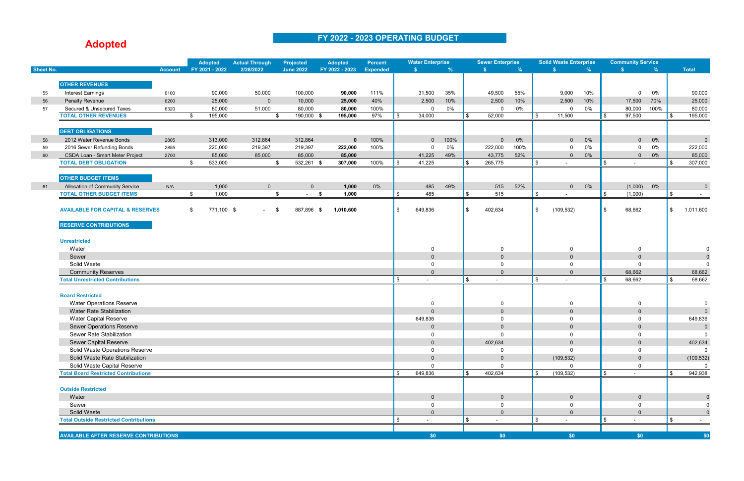### **FY 2022 - 2023 OPERATING BUDGET**

# **Adopted**

|                  |                                               |                | <b>Adopted</b>   | <b>Actual Through</b> | Projected            | <b>Adopted</b> | Percent         |            | <b>Water Enterprise</b> |      |               | <b>Sewer Enterprise</b> |      |          | <b>Solid Waste Enterprise</b> |               |          | <b>Community Service</b> |               |                          |                |
|------------------|-----------------------------------------------|----------------|------------------|-----------------------|----------------------|----------------|-----------------|------------|-------------------------|------|---------------|-------------------------|------|----------|-------------------------------|---------------|----------|--------------------------|---------------|--------------------------|----------------|
| <b>Sheet No.</b> |                                               | <b>Account</b> | FY 2021 - 2022   | 2/28/2022             | <b>June 2022</b>     | FY 2022 - 2023 | <b>Expended</b> |            | S                       | $\%$ |               |                         | $\%$ |          |                               | $\frac{9}{6}$ |          |                          | $\frac{9}{6}$ |                          | <b>Total</b>   |
|                  |                                               |                |                  |                       |                      |                |                 |            |                         |      |               |                         |      |          |                               |               |          |                          |               |                          |                |
|                  | <b>OTHER REVENUES</b>                         |                |                  |                       |                      |                |                 |            |                         |      |               |                         |      |          |                               |               |          |                          |               |                          |                |
| 55               | <b>Interest Earnings</b>                      | 6100           | 90,000           | 50,000                | 100,000              | 90,000         | 111%            |            | 31,500                  | 35%  |               | 49,500                  | 55%  |          | 9,000                         | 10%           |          | $\Omega$                 | $0\%$         |                          | 90,000         |
| 56               | <b>Penalty Revenue</b>                        | 6200           | 25,000           | $\mathbf 0$           | 10,000               | 25,000         | 40%             |            | 2,500                   | 10%  |               | 2,500                   | 10%  |          | 2,500                         | 10%           |          | 17,500                   | 70%           |                          | 25,000         |
| 57               | Secured & Unsecured Taxes                     | 6320           | 80,000           | 51,000                | 80,000               | 80,000         | 100%            |            | 0                       | 0%   |               | $\Omega$                | 0%   |          | 0                             | 0%            |          | 80,000                   | 100%          |                          | 80,000         |
|                  | <b>TOTAL OTHER REVENUES</b>                   |                | 195,000<br>\$    |                       | 190,000 \$<br>\$     | 195,000        | 97%             | - \$       | 34,000                  |      | \$            | 52,000                  |      | <b>S</b> | 11,500                        |               | <b>S</b> | 97,500                   |               | <b>S</b>                 | 195,000        |
|                  | <b>DEBT OBLIGATIONS</b>                       |                |                  |                       |                      |                |                 |            |                         |      |               |                         |      |          |                               |               |          |                          |               |                          |                |
| 58               | 2012 Water Revenue Bonds                      | 2805           | 313,000          | 312,864               | 312,864              | $\mathbf{0}$   | 100%            |            | $\overline{0}$          | 100% |               | $\overline{0}$          | 0%   |          | $\mathbf{0}$                  | 0%            |          | $\mathbf{0}$             | 0%            |                          | $\overline{0}$ |
| 59               | 2016 Sewer Refunding Bonds                    | 2855           | 220,000          | 219,397               | 219,397              | 222,000        | 100%            |            | $\mathbf{0}$            | 0%   |               | 222,000                 | 100% |          | $\mathbf{0}$                  | 0%            |          | $\mathbf 0$              | 0%            |                          | 222,000        |
| 60               | <b>CSDA Loan - Smart Meter Project</b>        | 2700           | 85,000           | 85,000                | 85,000               | 85,000         |                 |            | 41,225                  | 49%  |               | 43,775                  | 52%  |          | $\mathbf{0}$                  | 0%            |          | $\mathbf 0$              | $0\%$         |                          | 85,000         |
|                  | <b>TOTAL DEBT OBLIGATION</b>                  |                | 533,000<br>\$    |                       | 532,261<br>\$        | 307,000        | 100%            | -\$        | 41,225                  |      | \$            | 265,775                 |      | l \$     |                               |               |          |                          |               | \$                       | 307,000        |
|                  | <b>OTHER BUDGET ITEMS</b>                     |                |                  |                       |                      |                |                 |            |                         |      |               |                         |      |          |                               |               |          |                          |               |                          |                |
| 61               | <b>Allocation of Community Service</b>        | N/A            | 1,000            | $\mathbf 0$           | $\overline{0}$       | 1,000          | 0%              |            | 485                     | 49%  |               | 515                     | 52%  |          | $\mathbf{0}$                  | 0%            |          | (1,000)                  | $0\%$         |                          | $\overline{0}$ |
|                  | <b>TOTAL OTHER BUDGET ITEMS</b>               |                | 1,000<br>\$      |                       | \$<br>$\blacksquare$ | 1,000<br>- \$  |                 | $\sqrt{3}$ | 485                     |      | $\sqrt[6]{3}$ | 515                     |      | <b>S</b> |                               |               | <b>S</b> | (1,000)                  |               | $\vert \mathsf{s} \vert$ |                |
|                  |                                               |                |                  |                       |                      |                |                 |            |                         |      |               |                         |      |          |                               |               |          |                          |               |                          |                |
|                  | <b>AVAILABLE FOR CAPITAL &amp; RESERVES</b>   |                | 771,100 \$<br>\$ | $\sim$                | 887,896 \$<br>- \$   | 1,010,600      |                 | \$         | 649,836                 |      | \$            | 402,634                 |      | \$       | (109, 532)                    |               | <b>S</b> | 68,662                   |               | \$                       | 1,011,600      |
|                  |                                               |                |                  |                       |                      |                |                 |            |                         |      |               |                         |      |          |                               |               |          |                          |               |                          |                |
|                  | <b>RESERVE CONTRIBUTIONS</b>                  |                |                  |                       |                      |                |                 |            |                         |      |               |                         |      |          |                               |               |          |                          |               |                          |                |
|                  |                                               |                |                  |                       |                      |                |                 |            |                         |      |               |                         |      |          |                               |               |          |                          |               |                          |                |
|                  | <b>Unrestricted</b>                           |                |                  |                       |                      |                |                 |            |                         |      |               |                         |      |          |                               |               |          |                          |               |                          |                |
|                  | Water                                         |                |                  |                       |                      |                |                 |            | 0                       |      |               | 0                       |      |          | 0                             |               |          | $\mathbf{0}$             |               |                          |                |
|                  | Sewer                                         |                |                  |                       |                      |                |                 |            | $\mathbf 0$             |      |               | $\mathbf{0}$            |      |          | $\mathbf{0}$                  |               |          | $\Omega$                 |               |                          | $\Omega$       |
|                  | Solid Waste                                   |                |                  |                       |                      |                |                 |            | 0                       |      |               | 0                       |      |          | 0                             |               |          | $\Omega$                 |               |                          | $\Omega$       |
|                  | <b>Community Reserves</b>                     |                |                  |                       |                      |                |                 |            | $\mathbf{0}$            |      |               | $\overline{0}$          |      |          | $\Omega$                      |               |          | 68,662                   |               |                          | 68,662         |
|                  | <b>Total Unrestricted Contributions</b>       |                |                  |                       |                      |                |                 | \$         | $\sim$                  |      | \$            |                         |      | l \$     |                               |               | l \$     | 68,662                   |               | \$                       | 68,662         |
|                  |                                               |                |                  |                       |                      |                |                 |            |                         |      |               |                         |      |          |                               |               |          |                          |               |                          |                |
|                  | <b>Board Restricted</b>                       |                |                  |                       |                      |                |                 |            |                         |      |               |                         |      |          |                               |               |          |                          |               |                          |                |
|                  | <b>Water Operations Reserve</b>               |                |                  |                       |                      |                |                 |            | 0                       |      |               | $\mathbf 0$             |      |          | $\mathbf 0$                   |               |          | $\mathbf 0$              |               |                          | $\mathbf 0$    |
|                  | Water Rate Stabilization                      |                |                  |                       |                      |                |                 |            | $\mathbf{0}$            |      |               | $\Omega$                |      |          | $\mathbf{0}$                  |               |          | $\Omega$                 |               |                          | $\Omega$       |
|                  | <b>Water Capital Reserve</b>                  |                |                  |                       |                      |                |                 |            | 649,836                 |      |               | 0                       |      |          | $\mathbf{0}$                  |               |          | $\mathbf{0}$             |               |                          | 649,836        |
|                  | <b>Sewer Operations Reserve</b>               |                |                  |                       |                      |                |                 |            | $\Omega$                |      |               | $\Omega$                |      |          | $\mathbf{0}$                  |               |          | $\mathbf{0}$             |               |                          | $\overline{0}$ |
|                  | Sewer Rate Stabilization                      |                |                  |                       |                      |                |                 |            | 0                       |      |               | $\Omega$                |      |          | $\mathbf 0$                   |               |          | $\Omega$                 |               |                          | $\mathbf 0$    |
|                  | Sewer Capital Reserve                         |                |                  |                       |                      |                |                 |            | $\mathbf 0$             |      |               | 402,634                 |      |          | $\Omega$                      |               |          | $\Omega$                 |               |                          | 402,634        |
|                  | Solid Waste Operations Reserve                |                |                  |                       |                      |                |                 |            | 0                       |      |               | $\Omega$                |      |          | $\Omega$                      |               |          | $\Omega$                 |               |                          | $\overline{0}$ |
|                  | Solid Waste Rate Stabilization                |                |                  |                       |                      |                |                 |            | $\overline{0}$          |      |               | $\mathbf 0$             |      |          | (109, 532)                    |               |          | $\mathbf{0}$             |               |                          | (109, 532)     |
|                  | Solid Waste Capital Reserve                   |                |                  |                       |                      |                |                 |            | $\mathbf 0$             |      |               |                         |      |          | $\mathbf{0}$                  |               |          | $\Omega$                 |               |                          | $\mathbf{0}$   |
|                  | <b>Total Board Restricted Contributions</b>   |                |                  |                       |                      |                |                 | l \$       | 649,836                 |      | \$            | 402,634                 |      | l \$     | (109, 532)                    |               | <b>S</b> | $\sim$                   |               | $\sqrt{3}$               | 942,938        |
|                  |                                               |                |                  |                       |                      |                |                 |            |                         |      |               |                         |      |          |                               |               |          |                          |               |                          |                |
|                  | <b>Outside Restricted</b><br>Water            |                |                  |                       |                      |                |                 |            | $\overline{0}$          |      |               | $\overline{0}$          |      |          | $\overline{0}$                |               |          | $\overline{0}$           |               |                          | $\mathbf 0$    |
|                  | Sewer                                         |                |                  |                       |                      |                |                 |            | $\mathbf 0$             |      |               | $\Omega$                |      |          | $\Omega$                      |               |          | $\Omega$                 |               |                          | $\Omega$       |
|                  | Solid Waste                                   |                |                  |                       |                      |                |                 |            | $\mathbf{0}$            |      |               | $\Omega$                |      |          | $\Omega$                      |               |          | $\Omega$                 |               |                          | $\Omega$       |
|                  | <b>Total Outside Restricted Contributions</b> |                |                  |                       |                      |                |                 | \$         | $\sim$                  |      | \$            | $\sim$                  |      | <b>S</b> |                               |               | -\$      | $\sim$                   |               | $\$\$                    |                |
|                  |                                               |                |                  |                       |                      |                |                 |            |                         |      |               |                         |      |          |                               |               |          |                          |               |                          | $\sim$         |
|                  | <b>AVAILABLE AFTER RESERVE CONTRIBUTIONS</b>  |                |                  |                       |                      |                |                 |            | \$0                     |      |               |                         |      |          | \$0                           |               |          | \$0                      |               |                          |                |
|                  |                                               |                |                  |                       |                      |                |                 |            |                         |      |               | \$0                     |      |          |                               |               |          |                          |               |                          | \$0            |